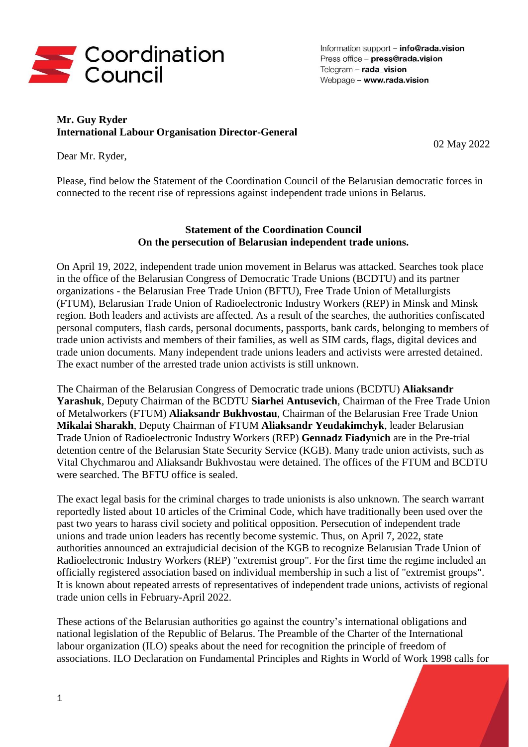

Information support - info@rada.vision Press office - press@rada.vision Telegram  $-$  rada vision Webpage - www.rada.vision

## **Mr. Guy Ryder International Labour Organisation Director-General**

02 May 2022

Dear Mr. Ryder,

Please, find below the Statement of the Coordination Council of the Belarusian democratic forces in connected to the recent rise of repressions against independent trade unions in Belarus.

## **Statement of the Coordination Council On the persecution of Belarusian independent trade unions.**

On April 19, 2022, independent trade union movement in Belarus was attacked. Searches took place in the office of the Belarusian Congress of Democratic Trade Unions (BCDTU) and its partner organizations - the Belarusian Free Trade Union (BFTU), Free Trade Union of Metallurgists (FTUM), Belarusian Trade Union of Radioelectronic Industry Workers (REP) in Minsk and Minsk region. Both leaders and activists are affected. As a result of the searches, the authorities confiscated personal computers, flash cards, personal documents, passports, bank cards, belonging to members of trade union activists and members of their families, as well as SIM cards, flags, digital devices and trade union documents. Many independent trade unions leaders and activists were arrested detained. The exact number of the arrested trade union activists is still unknown.

The Chairman of the Belarusian Congress of Democratic trade unions (BCDTU) **Aliaksandr Yarashuk**, Deputy Chairman of the BCDTU **Siarhei Antusevich**, Chairman of the Free Trade Union of Metalworkers (FTUM) **Aliaksandr Bukhvostau**, Chairman of the Belarusian Free Trade Union **Mikalai Sharakh**, Deputy Chairman of FTUM **Aliaksandr Yeudakimchyk**, leader Belarusian Trade Union of Radioelectronic Industry Workers (REP) **Gennadz Fiadynich** are in the Pre-trial detention centre of the Belarusian State Security Service (KGB). Many trade union activists, such as Vital Chychmarou and Aliaksandr Bukhvostau were detained. The offices of the FTUM and BCDTU were searched. The BFTU office is sealed.

The exact legal basis for the criminal charges to trade unionists is also unknown. The search warrant reportedly listed about 10 articles of the Criminal Code, which have traditionally been used over the past two years to harass civil society and political opposition. Persecution of independent trade unions and trade union leaders has recently become systemic. Thus, on April 7, 2022, state authorities announced an extrajudicial decision of the KGB to recognize Belarusian Trade Union of Radioelectronic Industry Workers (REP) "extremist group". For the first time the regime included an officially registered association based on individual membership in such a list of "extremist groups". It is known about repeated arrests of representatives of independent trade unions, activists of regional trade union cells in February-April 2022.

These actions of the Belarusian authorities go against the country's international obligations and national legislation of the Republic of Belarus. The Preamble of the Charter of the International labour organization (ILO) speaks about the need for recognition the principle of freedom of associations. ILO Declaration on Fundamental Principles and Rights in World of Work 1998 calls for